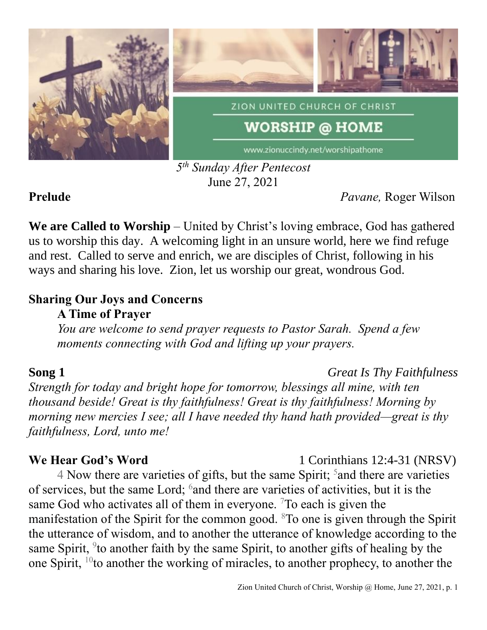

*5 th Sunday After Pentecost* June 27, 2021

**Prelude** *Pavane,* Roger Wilson

**We are Called to Worship** – United by Christ's loving embrace, God has gathered us to worship this day. A welcoming light in an unsure world, here we find refuge and rest. Called to serve and enrich, we are disciples of Christ, following in his ways and sharing his love. Zion, let us worship our great, wondrous God.

# **Sharing Our Joys and Concerns**

## **A Time of Prayer**

*You are welcome to send prayer requests to Pastor Sarah. Spend a few moments connecting with God and lifting up your prayers.*

**Song 1** *Great Is Thy Faithfulness Strength for today and bright hope for tomorrow, blessings all mine, with ten thousand beside! Great is thy faithfulness! Great is thy faithfulness! Morning by morning new mercies I see; all I have needed thy hand hath provided—great is thy faithfulness, Lord, unto me!*

# **We Hear God's Word** 1 Corinthians 12:4-31 (NRSV)

 $4$  Now there are varieties of gifts, but the same Spirit;  $5$  and there are varieties of services, but the same Lord; <sup>6</sup> and there are varieties of activities, but it is the same God who activates all of them in everyone. <sup>7</sup>To each is given the manifestation of the Spirit for the common good. <sup>8</sup>To one is given through the Spirit the utterance of wisdom, and to another the utterance of knowledge according to the same Spirit,  $9$  to another faith by the same Spirit, to another gifts of healing by the one Spirit, <sup>10</sup>to another the working of miracles, to another prophecy, to another the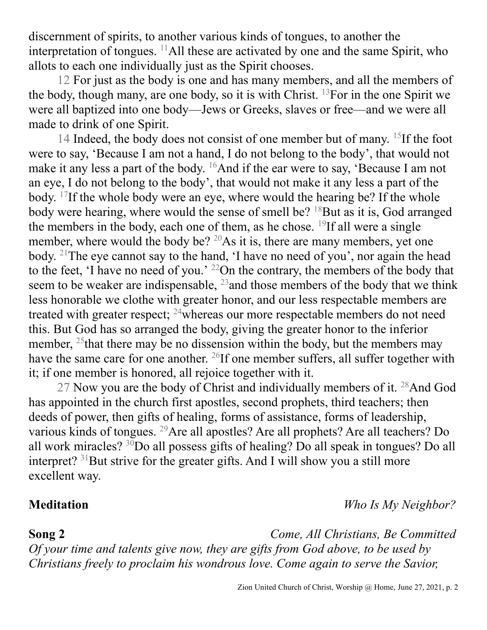discernment of spirits, to another various kinds of tongues, to another the interpretation of tongues.  $^{11}$ All these are activated by one and the same Spirit, who allots to each one individually just as the Spirit chooses.

12 For just as the body is one and has many members, and all the members of the body, though many, are one body, so it is with Christ. <sup>13</sup>For in the one Spirit we were all baptized into one body—Jews or Greeks, slaves or free—and we were all made to drink of one Spirit.

14 Indeed, the body does not consist of one member but of many. <sup>15</sup>If the foot were to say, 'Because I am not a hand, I do not belong to the body', that would not make it any less a part of the body. <sup>16</sup>And if the ear were to say, 'Because I am not an eye, I do not belong to the body', that would not make it any less a part of the body. <sup>17</sup>If the whole body were an eye, where would the hearing be? If the whole body were hearing, where would the sense of smell be? <sup>18</sup>But as it is, God arranged the members in the body, each one of them, as he chose. <sup>19</sup>If all were a single member, where would the body be?  $^{20}$ As it is, there are many members, yet one body. <sup>21</sup>The eye cannot say to the hand, 'I have no need of you', nor again the head to the feet, 'I have no need of you.' <sup>22</sup>On the contrary, the members of the body that seem to be weaker are indispensable,  $^{23}$  and those members of the body that we think less honorable we clothe with greater honor, and our less respectable members are treated with greater respect; <sup>24</sup>whereas our more respectable members do not need this. But God has so arranged the body, giving the greater honor to the inferior member, <sup>25</sup>that there may be no dissension within the body, but the members may have the same care for one another. <sup>26</sup>If one member suffers, all suffer together with it; if one member is honored, all rejoice together with it.

27 Now you are the body of Christ and individually members of it. <sup>28</sup>And God has appointed in the church first apostles, second prophets, third teachers; then deeds of power, then gifts of healing, forms of assistance, forms of leadership, various kinds of tongues. <sup>29</sup>Are all apostles? Are all prophets? Are all teachers? Do all work miracles? <sup>30</sup>Do all possess gifts of healing? Do all speak in tongues? Do all interpret?  $31$ But strive for the greater gifts. And I will show you a still more excellent way.

**Meditation** *Who Is My Neighbor?*

**Song 2** *Come, All Christians, Be Committed Of your time and talents give now, they are gifts from God above, to be used by Christians freely to proclaim his wondrous love. Come again to serve the Savior,*